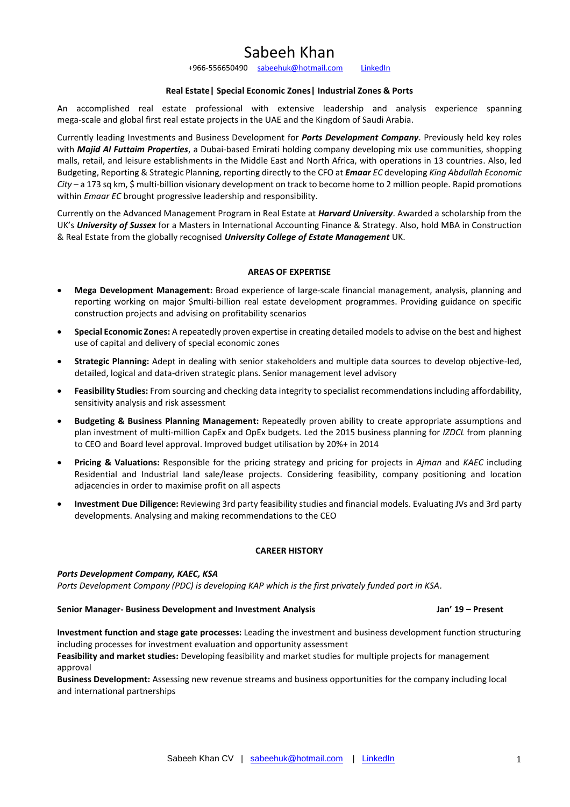# Sabeeh Khan

+966-556650490 [sabeehuk@hotmail.com](mailto:sabeehuk@hotmail.com) [LinkedIn](https://www.linkedin.com/in/sabeehuddinkhan/)

# **Real Estate| Special Economic Zones| Industrial Zones & Ports**

An accomplished real estate professional with extensive leadership and analysis experience spanning mega-scale and global first real estate projects in the UAE and the Kingdom of Saudi Arabia.

Currently leading Investments and Business Development for *Ports Development Company*. Previously held key roles with *Majid Al Futtaim Properties*, a Dubai-based Emirati holding company developing mix use communities, shopping malls, retail, and leisure establishments in the Middle East and North Africa, with operations in 13 countries. Also, led Budgeting, Reporting & Strategic Planning, reporting directly to the CFO at *Emaar EC* developing *King Abdullah Economic City* – a 173 sq km, \$ multi-billion visionary development on track to become home to 2 million people. Rapid promotions within *Emaar EC* brought progressive leadership and responsibility.

Currently on the Advanced Management Program in Real Estate at *Harvard University*. Awarded a scholarship from the UK's *University of Sussex* for a Masters in International Accounting Finance & Strategy. Also, hold MBA in Construction & Real Estate from the globally recognised *University College of Estate Management* UK.

#### **AREAS OF EXPERTISE**

- **Mega Development Management:** Broad experience of large-scale financial management, analysis, planning and reporting working on major \$multi-billion real estate development programmes. Providing guidance on specific construction projects and advising on profitability scenarios
- **Special Economic Zones:** A repeatedly proven expertise in creating detailed models to advise on the best and highest use of capital and delivery of special economic zones
- **Strategic Planning:** Adept in dealing with senior stakeholders and multiple data sources to develop objective-led, detailed, logical and data-driven strategic plans. Senior management level advisory
- **Feasibility Studies:** From sourcing and checking data integrity to specialist recommendations including affordability, sensitivity analysis and risk assessment
- **Budgeting & Business Planning Management:** Repeatedly proven ability to create appropriate assumptions and plan investment of multi-million CapEx and OpEx budgets. Led the 2015 business planning for *IZDCL* from planning to CEO and Board level approval. Improved budget utilisation by 20%+ in 2014
- **Pricing & Valuations:** Responsible for the pricing strategy and pricing for projects in *Ajman* and *KAEC* including Residential and Industrial land sale/lease projects. Considering feasibility, company positioning and location adjacencies in order to maximise profit on all aspects
- **Investment Due Diligence:** Reviewing 3rd party feasibility studies and financial models. Evaluating JVs and 3rd party developments. Analysing and making recommendations to the CEO

# **CAREER HISTORY**

#### *Ports Development Company, KAEC, KSA*

*Ports Development Company (PDC) is developing KAP which is the first privately funded port in KSA.*

#### **Senior Manager- Business Development and Investment Analysis Jan' 19 – Present**

**Investment function and stage gate processes:** Leading the investment and business development function structuring including processes for investment evaluation and opportunity assessment

**Feasibility and market studies:** Developing feasibility and market studies for multiple projects for management approval

**Business Development:** Assessing new revenue streams and business opportunities for the company including local and international partnerships